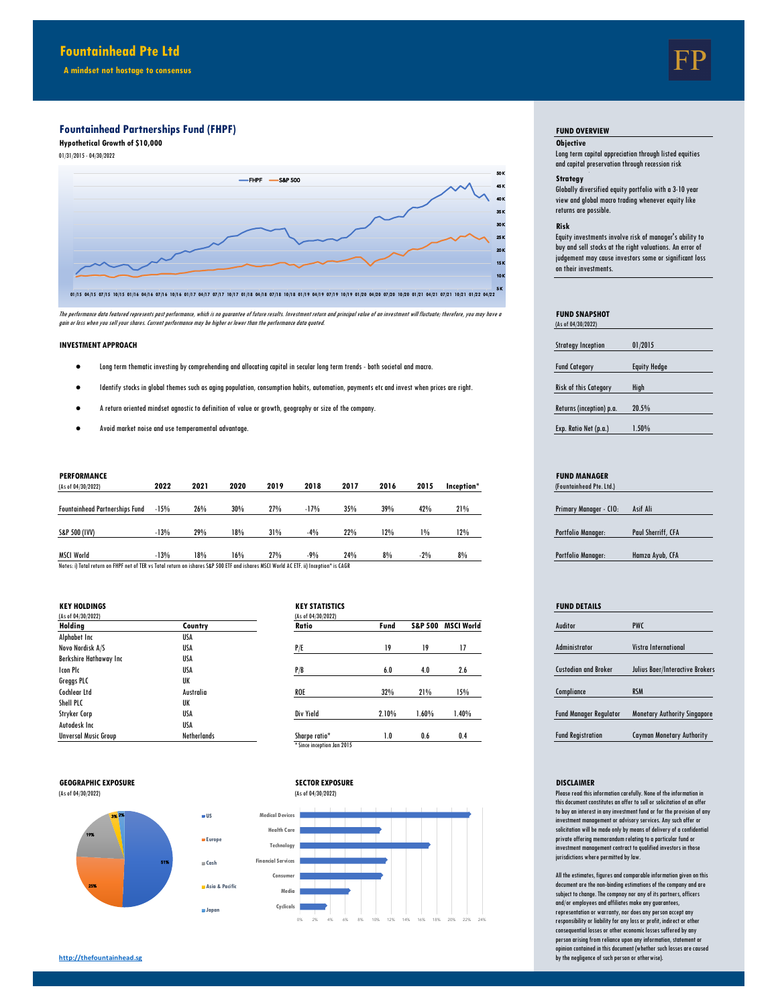**A mindset not hostage to consensus**

# **Fountainhead Partnerships Fund (FHPF)**

**Hypothetical Growth of \$10,000 Objective** 01/31/2015 - 04/30/2022



The performance data featured represents past performance, which is no guarantee of the forture sesults. Investment and principal value of an investment will fluctuate; therefore, you may have a<br>gain or loss when you sell

### **INVESTMENT APPROACH**

- Fund Category Equity Hedge Long term thematic investing by comprehending and allocating capital in secular long term trends both societal and macro.
- Risk of this Category High Identify stocks in global themes such as aging population, consumption habits, automation, payments etc and invest when prices are right.
- Returns (inception) p.a. 20.5% A return oriented mindset agnostic to definition of value or growth, geography or size of the company.
- Exp. Ratio Net (p.a.) 1.50% Avoid market noise and use temperamental advantage.

| (As of 04/30/2022)                                                                                                                     | 2022   | 2021 | 2020 | 2019 | 2018   | 2017 | 2016 | 2015  | Inception* | (Fountainhead Pte. Ltd.)      |                    |
|----------------------------------------------------------------------------------------------------------------------------------------|--------|------|------|------|--------|------|------|-------|------------|-------------------------------|--------------------|
| <b>Fountainhead Partnerships Fund</b>                                                                                                  | $-15%$ | 26%  | 30%  | 27%  | $-17%$ | 35%  | 39%  | 42%   | 21%        | <b>Primary Manager - CIO:</b> | Asif Ali           |
| S&P 500 (IVV)                                                                                                                          | $-13%$ | 29%  | 18%  | 31%  | $-4%$  | 22%  | 12%  | 1%    | 12%        | <b>Portfolio Manager:</b>     | Paul Sherriff, CFA |
| <b>MSCI World</b>                                                                                                                      | $-13%$ | 18%  | 16%  | 27%  | $-9%$  | 24%  | 8%   | $-2%$ | 8%         | <b>Portfolio Manager:</b>     | Hamza Avub, CFA    |
| Notes: i) Total return on FHPF net of TER vs Total return on ishares S&P 500 ETF and ishares MSCI World AC ETF. ii) Inception* is CAGR |        |      |      |      |        |      |      |       |            |                               |                    |

Notes: i) Total return on FHPF net of TER vs Total return on ishares S&P 500 ETF and ishares MSCI World AC ETF. ii) Inception\* is CAGR

**Europe Cash Asia & Pacific**

**Japan**

| <b>KEY HOLDINGS</b>         |                    | <b>KEY STATISTICS</b> |       |       |                    |  | <b>FUND DETAILS</b>           |                                     |
|-----------------------------|--------------------|-----------------------|-------|-------|--------------------|--|-------------------------------|-------------------------------------|
| (As of 04/30/2022)          |                    | (As of 04/30/2022)    |       |       |                    |  |                               |                                     |
| Holding                     | Country            | Ratio                 | Fund  |       | S&P 500 MSCI World |  | Auditor                       | <b>PWC</b>                          |
| Alphabet Inc                | USA                |                       |       |       |                    |  |                               |                                     |
| Novo Nordisk A/S            | <b>USA</b>         | P/E                   | 19    | 19    | 17                 |  | <b>Administrator</b>          | <b>Vistra International</b>         |
| Berkshire Hathaway Inc      | <b>USA</b>         |                       |       |       |                    |  |                               |                                     |
| Icon Plc                    | <b>USA</b>         | P/B                   | 6.0   | 4.0   | 2.6                |  | <b>Custodian and Broker</b>   | Julius Baer/Interactive Brokers     |
| Greggs PLC                  | UK                 |                       |       |       |                    |  |                               |                                     |
| Cochlear Ltd                | Australia          | <b>ROE</b>            | 32%   | 21%   | 15%                |  | Compliance                    | <b>RSM</b>                          |
| Shell PLC                   | UK                 |                       |       |       |                    |  |                               |                                     |
| Stryker Corp                | <b>USA</b>         | Div Yield             | 2.10% | 1.60% | 1.40%              |  | <b>Fund Manager Regulator</b> | <b>Monetary Authority Singapore</b> |
| Autodesk Inc                | <b>USA</b>         |                       |       |       |                    |  |                               |                                     |
| <b>Unversal Music Group</b> | <b>Netherlands</b> | Sharpe ratio*         | 1.0   | 0.6   | 0.4                |  | <b>Fund Registration</b>      | <b>Cayman Monetary Authority</b>    |

| Ratio         | Fund  | <b>S&amp;P 500</b> | <b>MSCI World</b> |
|---------------|-------|--------------------|-------------------|
| P/E           | 19    | 19                 | 17                |
| P/B           | 6.0   | 4.0                | 2.6               |
| <b>ROE</b>    | 32%   | 21%                | 15%               |
| Div Yield     | 2.10% | 1.60%              | 1.40%             |
| Sharpe ratio* | 1.0   | 0.6                | 0.4               |





0% 2% 4% 6% 8% 10% 12% 14% 16% 18% 20% 22% 24%

## **FUND OVERVIEW**

Long term capital appreciation through listed equities and capital preservation through recession risk

# Strategy

Globally diversified equity portfolio with a 3-10 year view and global macro trading whenever equity like returns are possible.

## **Risk**

Equity investments involve risk of manager's ability to buy and sell stocks at the right valuations. An error of judgement may cause investors some or significant loss on their investments.

| <b>FUND SNAPSHOT</b><br>(As of 04/30/2022) |                     |
|--------------------------------------------|---------------------|
|                                            |                     |
| <b>Strategy Inception</b>                  | 01/2015             |
|                                            |                     |
| <b>Fund Category</b>                       | <b>Equity Hedge</b> |
|                                            |                     |
| Risk of this Category                      | High                |
|                                            |                     |
| Returns (inception) p.a.                   | 20.5%               |
|                                            |                     |
| Exp. Ratio Net (p.a.)                      | $1.50\%$            |
|                                            |                     |

# **PERFORMANCE FUND MANAGER**

| (Fountainhead Pte. Ltd.) |                    |
|--------------------------|--------------------|
|                          |                    |
| Primary Manager - CIO:   | Asif Ali           |
|                          |                    |
| Portfolio Manager:       | Paul Sherriff, CFA |
|                          |                    |
| Portfolio Manager:       | Hamza Ayub, CFA    |
|                          |                    |

| <b>FUND DETAILS</b>           |                                     |
|-------------------------------|-------------------------------------|
| Auditor                       | <b>PWC</b>                          |
| <b>Administrator</b>          | Vistra International                |
| <b>Custodian and Broker</b>   | Julius Baer/Interactive Brokers     |
| Compliance                    | <b>RSM</b>                          |
| <b>Fund Manager Regulator</b> | <b>Monetary Authority Singapore</b> |
| <b>Fund Registration</b>      | <b>Cayman Monetary Authority</b>    |

Please read this information carefully. None of the information in this document constitutes an offer to sell or solicitation of an offer to buy an interest in any investment fund or for the provision of any investment management or advisory services. Any such offer or solicitation will be made only by means of delivery of a confidential private offering memorandum relating to a particular fund or investment management contract to qualified investors in those jurisdictions where permitted by law.

All the estimates, figures and comparable information given on this document are the non-binding estimations of the company and are subject to change. The compnay nor any of its partners, officers and/or employees and affiliates make any guarantees, representation or warranty, nor does any person accept any responsibility or liability for any loss or profit, indirect or other consequential losses or other economic losses suffered by any per son arising from reliance upon any information, statement opinion contained in this document (whether such losses are caused by the negligence of such person or otherwise).